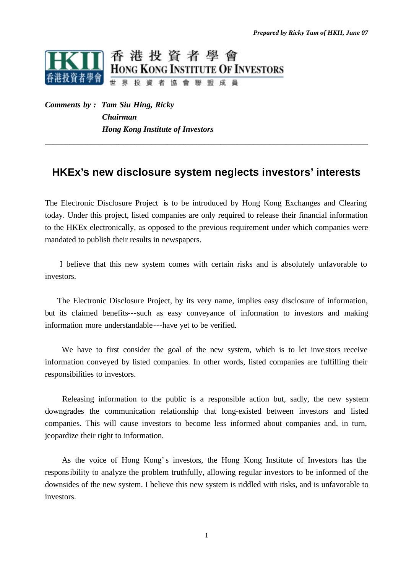

*Comments by : Tam Siu Hing, Ricky Chairman Hong Kong Institute of Investors*

# **HKEx's new disclosure system neglects investors' interests**

**\_\_\_\_\_\_\_\_\_\_\_\_\_\_\_\_\_\_\_\_\_\_\_\_\_\_\_\_\_\_\_\_\_\_\_\_\_\_\_\_\_\_\_\_\_\_\_\_\_\_\_\_\_\_\_\_\_\_\_\_\_\_\_\_\_\_\_\_\_\_\_\_\_\_\_\_\_\_\_**

The Electronic Disclosure Project is to be introduced by Hong Kong Exchanges and Clearing today. Under this project, listed companies are only required to release their financial information to the HKEx electronically, as opposed to the previous requirement under which companies were mandated to publish their results in newspapers.

 I believe that this new system comes with certain risks and is absolutely unfavorable to investors.

 The Electronic Disclosure Project, by its very name, implies easy disclosure of information, but its claimed benefits---such as easy conveyance of information to investors and making information more understandable---have yet to be verified.

 We have to first consider the goal of the new system, which is to let investors receive information conveyed by listed companies. In other words, listed companies are fulfilling their responsibilities to investors.

 Releasing information to the public is a responsible action but, sadly, the new system downgrades the communication relationship that long-existed between investors and listed companies. This will cause investors to become less informed about companies and, in turn, jeopardize their right to information.

 As the voice of Hong Kong's investors, the Hong Kong Institute of Investors has the responsibility to analyze the problem truthfully, allowing regular investors to be informed of the downsides of the new system. I believe this new system is riddled with risks, and is unfavorable to investors.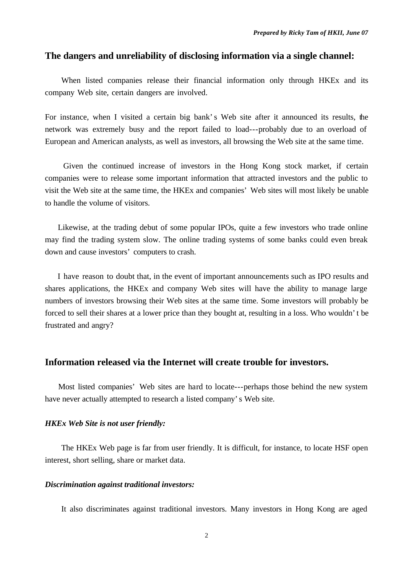# **The dangers and unreliability of disclosing information via a single channel:**

When listed companies release their financial information only through HKEx and its company Web site, certain dangers are involved.

For instance, when I visited a certain big bank's Web site after it announced its results, the network was extremely busy and the report failed to load---probably due to an overload of European and American analysts, as well as investors, all browsing the Web site at the same time.

 Given the continued increase of investors in the Hong Kong stock market, if certain companies were to release some important information that attracted investors and the public to visit the Web site at the same time, the HKEx and companies' Web sites will most likely be unable to handle the volume of visitors.

 Likewise, at the trading debut of some popular IPOs, quite a few investors who trade online may find the trading system slow. The online trading systems of some banks could even break down and cause investors' computers to crash.

 I have reason to doubt that, in the event of important announcements such as IPO results and shares applications, the HKEx and company Web sites will have the ability to manage large numbers of investors browsing their Web sites at the same time. Some investors will probably be forced to sell their shares at a lower price than they bought at, resulting in a loss. Who wouldn't be frustrated and angry?

# **Information released via the Internet will create trouble for investors.**

 Most listed companies' Web sites are hard to locate---perhaps those behind the new system have never actually attempted to research a listed company's Web site.

#### *HKEx Web Site is not user friendly:*

The HKEx Web page is far from user friendly. It is difficult, for instance, to locate HSF open interest, short selling, share or market data.

### *Discrimination against traditional investors:*

It also discriminates against traditional investors. Many investors in Hong Kong are aged